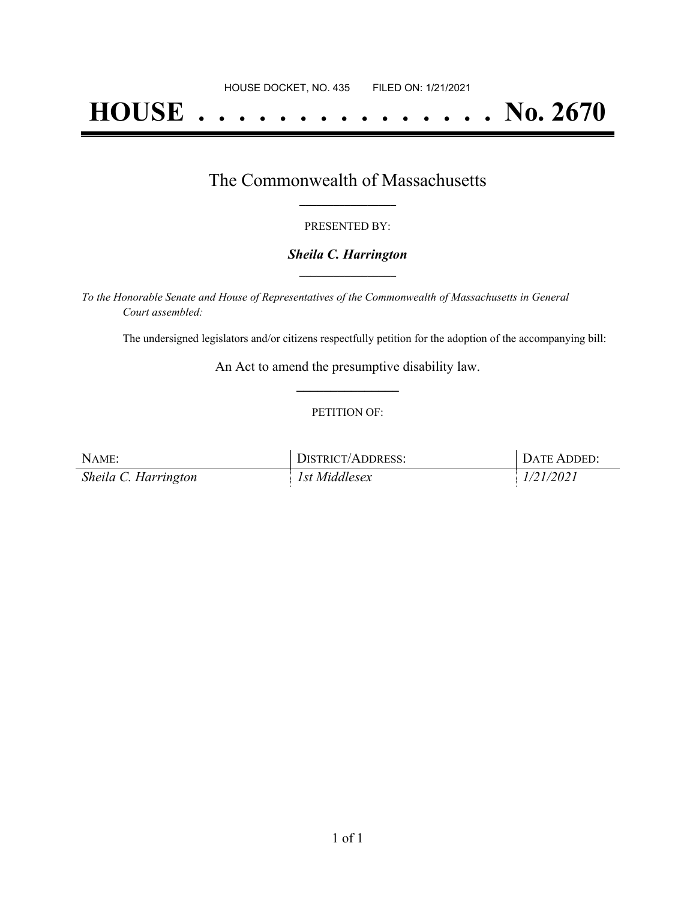# **HOUSE . . . . . . . . . . . . . . . No. 2670**

### The Commonwealth of Massachusetts **\_\_\_\_\_\_\_\_\_\_\_\_\_\_\_\_\_**

#### PRESENTED BY:

#### *Sheila C. Harrington* **\_\_\_\_\_\_\_\_\_\_\_\_\_\_\_\_\_**

*To the Honorable Senate and House of Representatives of the Commonwealth of Massachusetts in General Court assembled:*

The undersigned legislators and/or citizens respectfully petition for the adoption of the accompanying bill:

An Act to amend the presumptive disability law. **\_\_\_\_\_\_\_\_\_\_\_\_\_\_\_**

#### PETITION OF:

| NAME:                | DISTRICT/ADDRESS: | DATE ADDED: |
|----------------------|-------------------|-------------|
| Sheila C. Harrington | 1st Middlesex     | 1/21/2021   |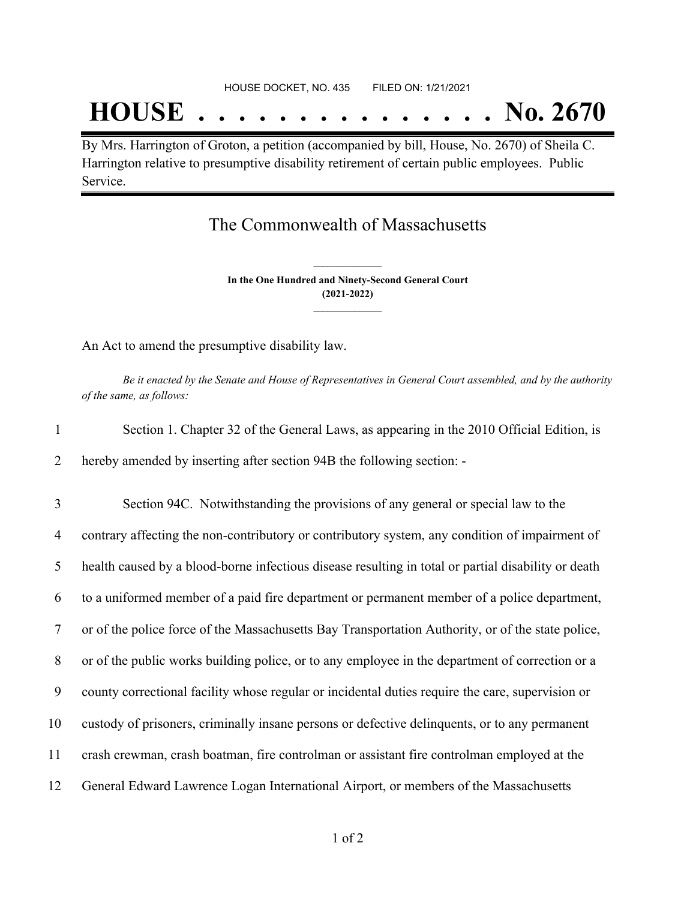# **HOUSE . . . . . . . . . . . . . . . No. 2670**

By Mrs. Harrington of Groton, a petition (accompanied by bill, House, No. 2670) of Sheila C. Harrington relative to presumptive disability retirement of certain public employees. Public Service.

## The Commonwealth of Massachusetts

**In the One Hundred and Ninety-Second General Court (2021-2022) \_\_\_\_\_\_\_\_\_\_\_\_\_\_\_**

**\_\_\_\_\_\_\_\_\_\_\_\_\_\_\_**

An Act to amend the presumptive disability law.

Be it enacted by the Senate and House of Representatives in General Court assembled, and by the authority *of the same, as follows:*

| Section 1. Chapter 32 of the General Laws, as appearing in the 2010 Official Edition, is |
|------------------------------------------------------------------------------------------|
| hereby amended by inserting after section 94B the following section: -                   |

 Section 94C. Notwithstanding the provisions of any general or special law to the contrary affecting the non-contributory or contributory system, any condition of impairment of health caused by a blood-borne infectious disease resulting in total or partial disability or death to a uniformed member of a paid fire department or permanent member of a police department, or of the police force of the Massachusetts Bay Transportation Authority, or of the state police, or of the public works building police, or to any employee in the department of correction or a county correctional facility whose regular or incidental duties require the care, supervision or custody of prisoners, criminally insane persons or defective delinquents, or to any permanent crash crewman, crash boatman, fire controlman or assistant fire controlman employed at the General Edward Lawrence Logan International Airport, or members of the Massachusetts